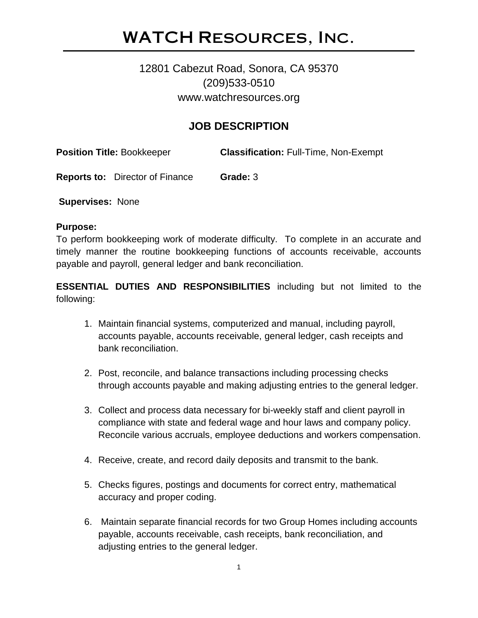# WATCH Resources, Inc.

## 12801 Cabezut Road, Sonora, CA 95370 (209)533-0510 www.watchresources.org

### **JOB DESCRIPTION**

**Position Title:** Bookkeeper **Classification:** Full-Time, Non-Exempt

**Reports to:** Director of Finance **Grade:** 3

**Supervises:** None

#### **Purpose:**

To perform bookkeeping work of moderate difficulty. To complete in an accurate and timely manner the routine bookkeeping functions of accounts receivable, accounts payable and payroll, general ledger and bank reconciliation.

**ESSENTIAL DUTIES AND RESPONSIBILITIES** including but not limited to the following:

- 1. Maintain financial systems, computerized and manual, including payroll, accounts payable, accounts receivable, general ledger, cash receipts and bank reconciliation.
- 2. Post, reconcile, and balance transactions including processing checks through accounts payable and making adjusting entries to the general ledger.
- 3. Collect and process data necessary for bi-weekly staff and client payroll in compliance with state and federal wage and hour laws and company policy. Reconcile various accruals, employee deductions and workers compensation.
- 4. Receive, create, and record daily deposits and transmit to the bank.
- 5. Checks figures, postings and documents for correct entry, mathematical accuracy and proper coding.
- 6. Maintain separate financial records for two Group Homes including accounts payable, accounts receivable, cash receipts, bank reconciliation, and adjusting entries to the general ledger.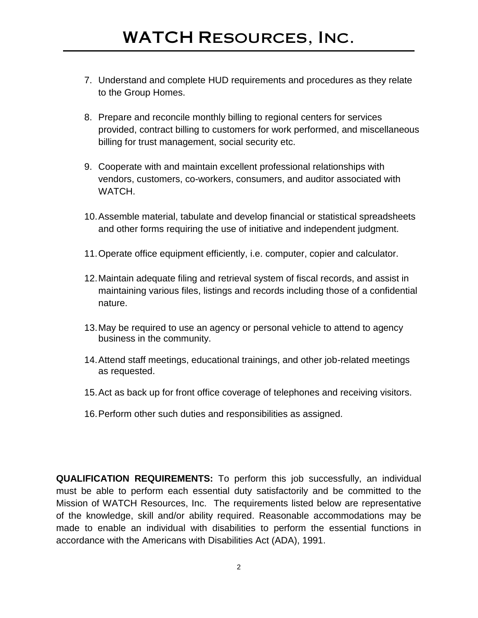- 7. Understand and complete HUD requirements and procedures as they relate to the Group Homes.
- 8. Prepare and reconcile monthly billing to regional centers for services provided, contract billing to customers for work performed, and miscellaneous billing for trust management, social security etc.
- 9. Cooperate with and maintain excellent professional relationships with vendors, customers, co-workers, consumers, and auditor associated with WATCH.
- 10.Assemble material, tabulate and develop financial or statistical spreadsheets and other forms requiring the use of initiative and independent judgment.
- 11.Operate office equipment efficiently, i.e. computer, copier and calculator.
- 12.Maintain adequate filing and retrieval system of fiscal records, and assist in maintaining various files, listings and records including those of a confidential nature.
- 13.May be required to use an agency or personal vehicle to attend to agency business in the community.
- 14.Attend staff meetings, educational trainings, and other job-related meetings as requested.
- 15.Act as back up for front office coverage of telephones and receiving visitors.
- 16.Perform other such duties and responsibilities as assigned.

**QUALIFICATION REQUIREMENTS:** To perform this job successfully, an individual must be able to perform each essential duty satisfactorily and be committed to the Mission of WATCH Resources, Inc. The requirements listed below are representative of the knowledge, skill and/or ability required. Reasonable accommodations may be made to enable an individual with disabilities to perform the essential functions in accordance with the Americans with Disabilities Act (ADA), 1991.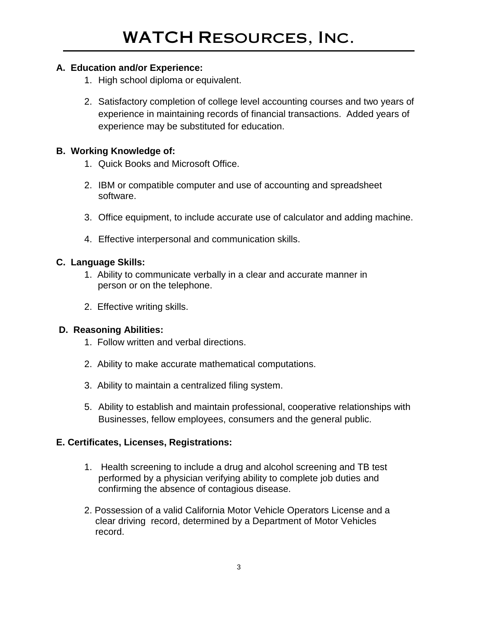#### **A. Education and/or Experience:**

- 1. High school diploma or equivalent.
- 2. Satisfactory completion of college level accounting courses and two years of experience in maintaining records of financial transactions. Added years of experience may be substituted for education.

### **B. Working Knowledge of:**

- 1. Quick Books and Microsoft Office.
- 2. IBM or compatible computer and use of accounting and spreadsheet software.
- 3. Office equipment, to include accurate use of calculator and adding machine.
- 4. Effective interpersonal and communication skills.

#### **C. Language Skills:**

- 1. Ability to communicate verbally in a clear and accurate manner in person or on the telephone.
- 2. Effective writing skills.

### **D. Reasoning Abilities:**

- 1. Follow written and verbal directions.
- 2. Ability to make accurate mathematical computations.
- 3. Ability to maintain a centralized filing system.
- 5. Ability to establish and maintain professional, cooperative relationships with Businesses, fellow employees, consumers and the general public.

### **E. Certificates, Licenses, Registrations:**

- 1. Health screening to include a drug and alcohol screening and TB test performed by a physician verifying ability to complete job duties and confirming the absence of contagious disease.
- 2. Possession of a valid California Motor Vehicle Operators License and a clear driving record, determined by a Department of Motor Vehicles record.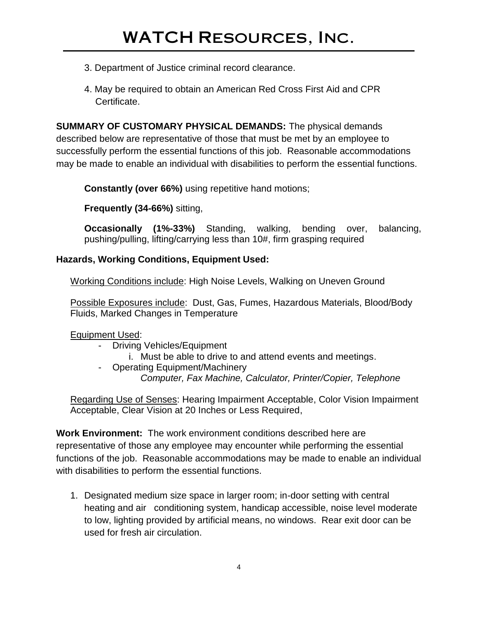- 3. Department of Justice criminal record clearance.
- 4. May be required to obtain an American Red Cross First Aid and CPR Certificate.

**SUMMARY OF CUSTOMARY PHYSICAL DEMANDS:** The physical demands described below are representative of those that must be met by an employee to successfully perform the essential functions of this job. Reasonable accommodations may be made to enable an individual with disabilities to perform the essential functions.

**Constantly (over 66%)** using repetitive hand motions;

**Frequently (34-66%)** sitting,

**Occasionally (1%-33%)** Standing, walking, bending over, balancing, pushing/pulling, lifting/carrying less than 10#, firm grasping required

#### **Hazards, Working Conditions, Equipment Used:**

Working Conditions include: High Noise Levels, Walking on Uneven Ground

Possible Exposures include: Dust, Gas, Fumes, Hazardous Materials, Blood/Body Fluids, Marked Changes in Temperature

Equipment Used:

- Driving Vehicles/Equipment
	- i. Must be able to drive to and attend events and meetings.
- Operating Equipment/Machinery *Computer, Fax Machine, Calculator, Printer/Copier, Telephone*

Regarding Use of Senses: Hearing Impairment Acceptable, Color Vision Impairment Acceptable, Clear Vision at 20 Inches or Less Required,

**Work Environment:** The work environment conditions described here are representative of those any employee may encounter while performing the essential functions of the job. Reasonable accommodations may be made to enable an individual with disabilities to perform the essential functions.

1. Designated medium size space in larger room; in-door setting with central heating and air conditioning system, handicap accessible, noise level moderate to low, lighting provided by artificial means, no windows. Rear exit door can be used for fresh air circulation.